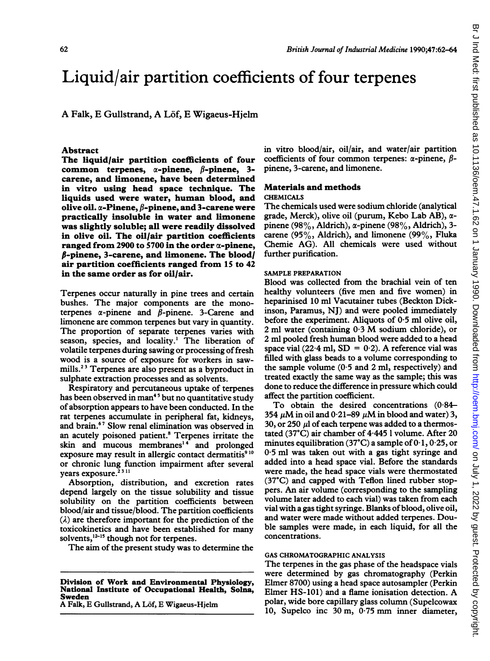# Liquid/air partition coefficients of four terpenes

A Falk, E Gullstrand, A Löf, E Wigaeus-Hjelm

#### Abstract

The liquid/air partition coefficients of four common terpenes,  $\alpha$ -pinene,  $\beta$ -pinene, 3carene, and limonene, have been determined in vitro using head space technique. The liquids used were water, human blood, and olive oil.  $\alpha$ -Pinene,  $\beta$ -pinene, and 3-carene were practically insoluble in water and limonene was slightly soluble; all were readily dissolved in olive oil. The oil/air partition coefficients ranged from 2900 to 5700 in the order  $\alpha$ -pinene,  $\beta$ -pinene, 3-carene, and limonene. The blood/ air partition coefficients ranged from 15 to 42 in the same order as for oil/air.

Terpenes occur naturally in pine trees and certain bushes. The major components are the monoterpenes  $\alpha$ -pinene and  $\beta$ -pinene. 3-Carene and limonene are common terpenes but vary in quantity. The proportion of separate terpenes varies with season, species, and locality.' The liberation of volatile terpenes during sawing or processing of fresh wood is a source of exposure for workers in sawmills.<sup>23</sup> Terpenes are also present as a byproduct in sulphate extraction processes and as solvents.

Respiratory and percutaneous uptake of terpenes has been observed in man<sup>45</sup> but no quantitative study of absorption appears to have been conducted. In the rat terpenes accumulate in peripheral fat, kidneys, and brain.67 Slow renal elimination was observed in an acutely poisoned patient.<sup>8</sup> Terpenes irritate the skin and mucous membranes'4 and prolonged exposure may result in allergic contact dermatitis<sup>910</sup> or chronic lung function impairment after several years exposure.<sup>2311</sup>

Absorption, distribution, and excretion rates depend largely on the tissue solubility and tissue solubility on the partition coefficients between blood/air and tissue/blood. The partition coefficients  $(\lambda)$  are therefore important for the prediction of the toxicokinetics and have been established for many solvents, $^{12-15}$  though not for terpenes.

The aim of the present study was to determine the

A Falk, E Gullstrand, A Löf, E Wigaeus-Hjelm

in vitro blood/air, oil/air, and water/air partition coefficients of four common terpenes:  $\alpha$ -pinene,  $\beta$ pinene, 3-carene, and limonene.

## Materials and methods

#### CHEMICALS

The chemicals used were sodium chloride (analytical grade, Merck), olive oil (purum, Kebo Lab AB),  $\alpha$ pinene (98%, Aldrich),  $\alpha$ -pinene (98%, Aldrich), 3carene (95%, Aldrich), and limonene (99%, Fluka Chemie AG). All chemicals were used without further purification.

#### SAMPLE PREPARATION

Blood was collected from the brachial vein of ten healthy volunteers (five men and five women) in heparinised 10 ml Vacutainer tubes (Beckton Dickinson, Paramus, NJ) and were pooled immediately before the experiment. Aliquots of 0 5 ml olive oil, 2 ml water (containing  $0.3$  M sodium chloride), or 2 ml pooled fresh human blood were added to a head space vial (22.4 ml,  $SD = 0.2$ ). A reference vial was filled with glass beads to a volume corresponding to the sample volume  $(0.5 \text{ and } 2 \text{ ml}, \text{respectively})$  and treated exactly the same way as the sample; this was done to reduce the difference in pressure which could affect the partition coefficient.

To obtain the desired concentrations (0-84- 354  $\mu$ M in oil and 0.21–89  $\mu$ M in blood and water) 3, 30, or 250  $\mu$ l of each terpene was added to a thermostated (37°C) air chamber of 4-445 <sup>1</sup> volume. After 20 minutes equilibration (37°C) a sample of  $0.1$ ,  $0.25$ , or 0-5 ml was taken out with a gas tight syringe and added into a head space vial. Before the standards were made, the head space vials were thermostated (37C) and capped with Teflon lined rubber stoppers. An air volume (corresponding to the sampling volume later added to each vial) was taken from each vial with a gas tight syringe. Blanks of blood, olive oil, and water were made without added terpenes. Double samples were made, in each liquid, for all the concentrations.

#### GAS CHROMATOGRAPHIC ANALYSIS

The terpenes in the gas phase of the headspace vials were determined by gas chromatography (Perkin Elmer 8700) using a head space autosampler (Perkin Elmer HS-101) and <sup>a</sup> flame ionisation detection. A polar, wide bore capillary glass column (Supelcowax 10, Supelco inc <sup>30</sup> m, <sup>0</sup> <sup>75</sup> mm inner diameter,

Division of Work and Environmental Physiology, National Institute of Occupational Health, Solna, Sweden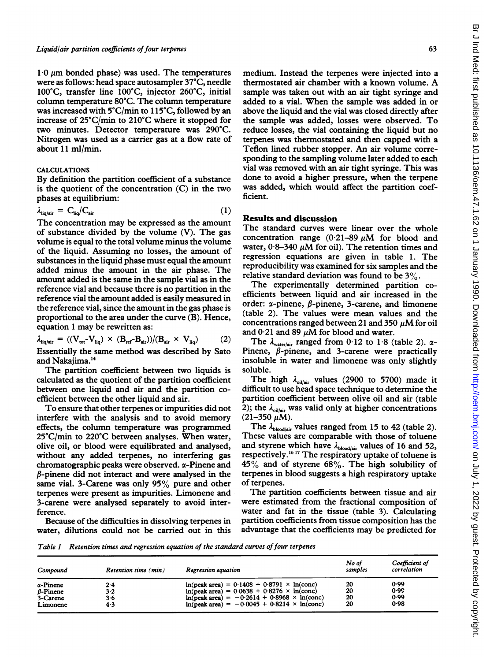$1.0 \text{ }\mu\text{m}$  bonded phase) was used. The temperatures were as follows: head space autosampler 37°C, needle 100°C, transfer line 100°C, injector 260°C, initial column temperature 80°C. The column temperature was increased with 5°C/min to <sup>1</sup> 15°C, followed by an increase of 25°C/min to 210°C where it stopped for two minutes. Detector temperature was 290°C. Nitrogen was used as a carrier gas at a flow rate of about 11 ml/min.

### CALCULATIONS

By definition the partition coefficient of a substance is the quotient of the concentration (C) in the two phases at equilibrium:

$$
\lambda_{\text{liq/sir}} = C_{\text{liq}} / C_{\text{air}} \tag{1}
$$

The concentration may be expressed as the amount of substance divided by the volume (V). The gas volume is equal to the total volume minus the volume of the liquid. Assuming no losses, the amount of substances in the liquid phase must equal the amount added minus the amount in the air phase. The amount added is the same in the sample vial as in the reference vial and because there is no partition in the reference vial the amount added is easily measured in the reference vial, since the amount in the gas phase is proportional to the area under the curve (B). Hence, equation <sup>1</sup> may be rewritten as:

$$
\lambda_{liq/air} = ((V_{tot} - V_{liq}) \times (B_{ref} - B_{air})) / (B_{air} \times V_{liq})
$$
 (2)

Essentially the same method was described by Sato and Nakajima.'4

The partition coefficient between two liquids is calculated as the quotient of the partition coefficient between one liquid and air and the partition coefficient between the other liquid and air.

To ensure that other terpenes or impurities did not interfere with the analysis and to avoid memory effects, the column temperature was programmed 25°C/min to 220°C between analyses. When water, olive oil, or blood were equilibrated and analysed, without any added terpenes, no interfering gas chromatographic peaks were observed. a-Pinene and  $\beta$ -pinene did not interact and were analysed in the same vial. 3-Carene was only 95% pure and other terpenes were present as impurities. Limonene and 3-carene were analysed separately to avoid interference.

Because of the difficulties in dissolving terpenes in water, dilutions could not be carried out in this

medium. Instead the terpenes were injected into a thermostated air chamber with <sup>a</sup> known volume. A sample was taken out with an air tight syringe and added to <sup>a</sup> vial. When the sample was added in or above the liquid and the vial was closed directly after the sample was added, losses were observed. To reduce losses, the vial containing the liquid but no terpenes was thermostated and then capped with a Teflon lined rubber stopper. An air volume corresponding to the sampling volume later added to each vial was removed with an air tight syringe. This was done to avoid a higher pressure, when the terpene was added, which would affect the partition coefficient.

## Results and discussion

The standard curves were linear over the whole concentration range  $(0.21-89 \text{ }\mu\text{M})$  for blood and water,  $0.8-340 \mu M$  for oil). The retention times and regression equations are given in table 1. The reproducibility was examined for six samples and the relative standard deviation was found to be 3%.

The experimentally determined partition coefficients between liquid and air increased in the order:  $\alpha$ -pinene,  $\beta$ -pinene, 3-carene, and limonene (table 2). The values were mean values and the concentrations ranged between 21 and 350  $\mu$ M for oil and  $0.21$  and 89  $\mu$ M for blood and water.

The  $\lambda_{\text{water/air}}$  ranged from 0.12 to 1.8 (table 2).  $\alpha$ -Pinene,  $\beta$ -pinene, and 3-carene were practically insoluble in water and limonene was only slightly soluble.

The high  $\lambda_{\text{oil/air}}$  values (2900 to 5700) made it difficult to use head space technique to determine the partition coefficient between olive oil and air (table 2); the  $\lambda_{\text{oil/air}}$  was valid only at higher concentrations  $(21-350 \mu M)$ .

The  $\lambda_{\text{blood/sir}}$  values ranged from 15 to 42 (table 2). These values are comparable with those of toluene and styrene which have  $\lambda_{\text{blood/air}}$  values of 16 and 52, respectively.<sup>1617</sup> The respiratory uptake of toluene is  $45\%$  and of styrene 68%. The high solubility of terpenes in blood suggests a high respiratory uptake of terpenes.

The partition coefficients between tissue and air were estimated from the fractional composition of water and fat in the tissue (table 3). Calculating partition coefficients from tissue composition has the advantage that the coefficients may be predicted for

Table 1 Retention times and regression equation of the standard curves of four terpenes

| Compound         | Retention time (min) | Regression equation                                              | No of<br>samples | Coefficient of<br>correlation |
|------------------|----------------------|------------------------------------------------------------------|------------------|-------------------------------|
| $\alpha$ -Pinene | 2.4                  | $ln(\text{peak area}) = 0.1408 + 0.8791 \times ln(\text{conc})$  | 20               | 0.99                          |
| $\beta$ -Pinene  | $3-2$                | $ln(\text{peak area}) = 0.0638 + 0.8276 \times ln(\text{conc})$  | 20               | 0.99                          |
| 3-Carene         | 3.6                  | $ln(peak area) = -0.2614 + 0.8968 \times ln(conc)$               | 20               | 0.99                          |
| Limonene         | 4.3                  | $ln(\text{peak area}) = -0.0045 + 0.8214 \times ln(\text{conc})$ | 20               | 0.98                          |